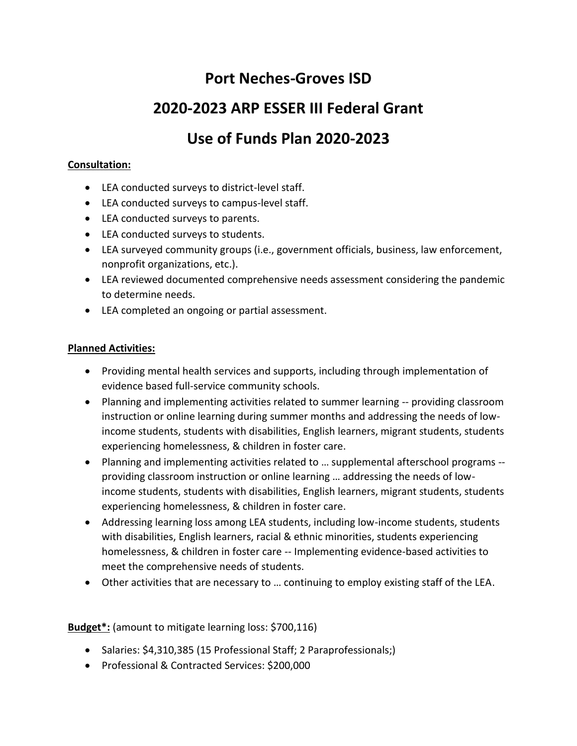# **Port Neches-Groves ISD**

# **2020-2023 ARP ESSER III Federal Grant**

# **Use of Funds Plan 2020-2023**

## **Consultation:**

- LEA conducted surveys to district-level staff.
- LEA conducted surveys to campus-level staff.
- LEA conducted surveys to parents.
- LEA conducted surveys to students.
- LEA surveyed community groups (i.e., government officials, business, law enforcement, nonprofit organizations, etc.).
- LEA reviewed documented comprehensive needs assessment considering the pandemic to determine needs.
- LEA completed an ongoing or partial assessment.

## **Planned Activities:**

- Providing mental health services and supports, including through implementation of evidence based full-service community schools.
- Planning and implementing activities related to summer learning -- providing classroom instruction or online learning during summer months and addressing the needs of lowincome students, students with disabilities, English learners, migrant students, students experiencing homelessness, & children in foster care.
- Planning and implementing activities related to … supplemental afterschool programs providing classroom instruction or online learning … addressing the needs of lowincome students, students with disabilities, English learners, migrant students, students experiencing homelessness, & children in foster care.
- Addressing learning loss among LEA students, including low-income students, students with disabilities, English learners, racial & ethnic minorities, students experiencing homelessness, & children in foster care -- Implementing evidence-based activities to meet the comprehensive needs of students.
- Other activities that are necessary to … continuing to employ existing staff of the LEA.

**Budget\*:** (amount to mitigate learning loss: \$700,116)

- Salaries: \$4,310,385 (15 Professional Staff; 2 Paraprofessionals;)
- Professional & Contracted Services: \$200,000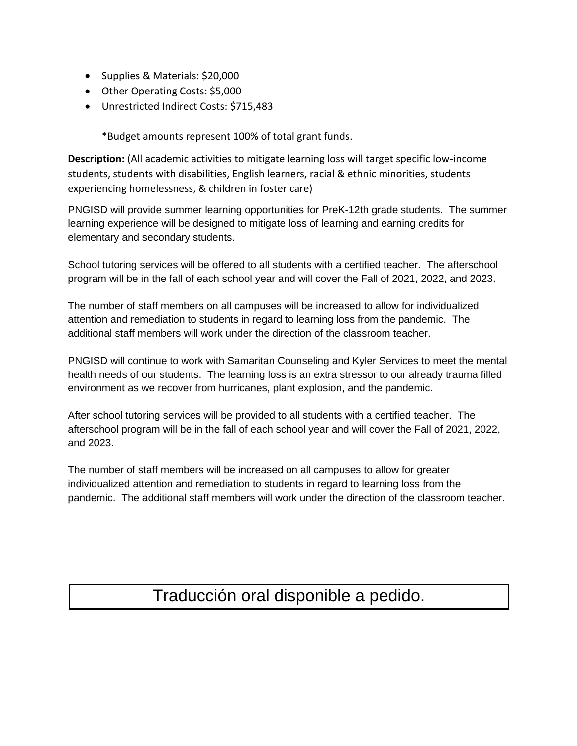- Supplies & Materials: \$20,000
- Other Operating Costs: \$5,000
- Unrestricted Indirect Costs: \$715,483

\*Budget amounts represent 100% of total grant funds.

**Description:** (All academic activities to mitigate learning loss will target specific low-income students, students with disabilities, English learners, racial & ethnic minorities, students experiencing homelessness, & children in foster care)

PNGISD will provide summer learning opportunities for PreK-12th grade students. The summer learning experience will be designed to mitigate loss of learning and earning credits for elementary and secondary students.

School tutoring services will be offered to all students with a certified teacher. The afterschool program will be in the fall of each school year and will cover the Fall of 2021, 2022, and 2023.

The number of staff members on all campuses will be increased to allow for individualized attention and remediation to students in regard to learning loss from the pandemic. The additional staff members will work under the direction of the classroom teacher.

PNGISD will continue to work with Samaritan Counseling and Kyler Services to meet the mental health needs of our students. The learning loss is an extra stressor to our already trauma filled environment as we recover from hurricanes, plant explosion, and the pandemic.

After school tutoring services will be provided to all students with a certified teacher. The afterschool program will be in the fall of each school year and will cover the Fall of 2021, 2022, and 2023.

The number of staff members will be increased on all campuses to allow for greater individualized attention and remediation to students in regard to learning loss from the pandemic. The additional staff members will work under the direction of the classroom teacher.

# Traducción oral disponible a pedido.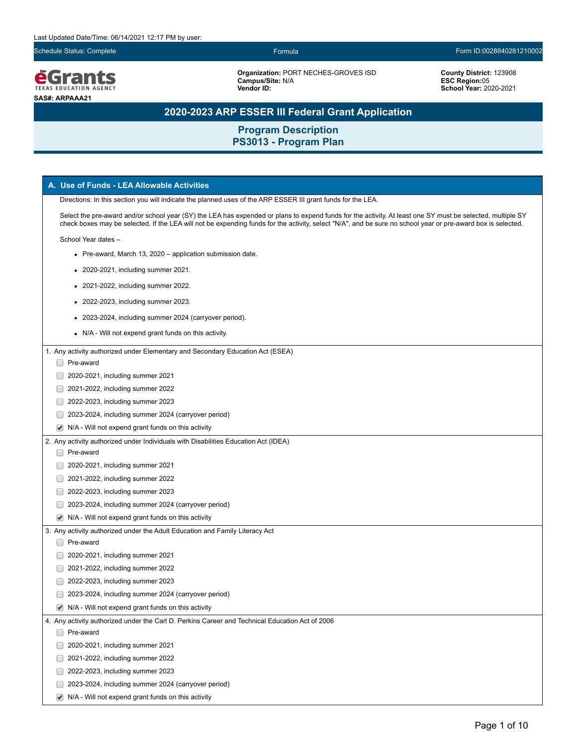

**Organization:** PORT NECHES-GROVES ISD **Campus/Site:** N/A **Vendor ID:**

**County District:** 123908 **ESC Region:**05 **School Year:** 2020-2021

# **2020-2023 ARP ESSER III Federal Grant Application**

|                                                                                                                                                                                                                                                                                                                            |                                                                                                              | A. Use of Funds - LEA Allowable Activities                                                      |  |
|----------------------------------------------------------------------------------------------------------------------------------------------------------------------------------------------------------------------------------------------------------------------------------------------------------------------------|--------------------------------------------------------------------------------------------------------------|-------------------------------------------------------------------------------------------------|--|
|                                                                                                                                                                                                                                                                                                                            | Directions: In this section you will indicate the planned uses of the ARP ESSER III grant funds for the LEA. |                                                                                                 |  |
| Select the pre-award and/or school year (SY) the LEA has expended or plans to expend funds for the activity. At least one SY must be selected, multiple SY<br>check boxes may be selected. If the LEA will not be expending funds for the activity, select "N/A", and be sure no school year or pre-award box is selected. |                                                                                                              |                                                                                                 |  |
| School Year dates -                                                                                                                                                                                                                                                                                                        |                                                                                                              |                                                                                                 |  |
| • Pre-award, March 13, 2020 – application submission date.                                                                                                                                                                                                                                                                 |                                                                                                              |                                                                                                 |  |
|                                                                                                                                                                                                                                                                                                                            |                                                                                                              | • 2020-2021, including summer 2021.                                                             |  |
|                                                                                                                                                                                                                                                                                                                            |                                                                                                              | 2021-2022, including summer 2022.                                                               |  |
|                                                                                                                                                                                                                                                                                                                            |                                                                                                              | • 2022-2023, including summer 2023.                                                             |  |
|                                                                                                                                                                                                                                                                                                                            |                                                                                                              | • 2023-2024, including summer 2024 (carryover period).                                          |  |
|                                                                                                                                                                                                                                                                                                                            |                                                                                                              | • N/A - Will not expend grant funds on this activity.                                           |  |
|                                                                                                                                                                                                                                                                                                                            |                                                                                                              |                                                                                                 |  |
|                                                                                                                                                                                                                                                                                                                            | □ Pre-award                                                                                                  | 1. Any activity authorized under Elementary and Secondary Education Act (ESEA)                  |  |
|                                                                                                                                                                                                                                                                                                                            |                                                                                                              |                                                                                                 |  |
|                                                                                                                                                                                                                                                                                                                            |                                                                                                              | 2020-2021, including summer 2021                                                                |  |
|                                                                                                                                                                                                                                                                                                                            |                                                                                                              | 2021-2022, including summer 2022                                                                |  |
|                                                                                                                                                                                                                                                                                                                            |                                                                                                              | 2022-2023, including summer 2023                                                                |  |
|                                                                                                                                                                                                                                                                                                                            |                                                                                                              | 2023-2024, including summer 2024 (carryover period)                                             |  |
|                                                                                                                                                                                                                                                                                                                            |                                                                                                              | $\blacktriangleright$ N/A - Will not expend grant funds on this activity                        |  |
|                                                                                                                                                                                                                                                                                                                            |                                                                                                              | 2. Any activity authorized under Individuals with Disabilities Education Act (IDEA)             |  |
|                                                                                                                                                                                                                                                                                                                            | Pre-award                                                                                                    |                                                                                                 |  |
|                                                                                                                                                                                                                                                                                                                            |                                                                                                              | 2020-2021, including summer 2021                                                                |  |
|                                                                                                                                                                                                                                                                                                                            |                                                                                                              | 2021-2022, including summer 2022                                                                |  |
|                                                                                                                                                                                                                                                                                                                            |                                                                                                              | 2022-2023, including summer 2023                                                                |  |
|                                                                                                                                                                                                                                                                                                                            |                                                                                                              | 2023-2024, including summer 2024 (carryover period)                                             |  |
|                                                                                                                                                                                                                                                                                                                            |                                                                                                              | $\blacktriangleright$ N/A - Will not expend grant funds on this activity                        |  |
|                                                                                                                                                                                                                                                                                                                            |                                                                                                              | 3. Any activity authorized under the Adult Education and Family Literacy Act                    |  |
|                                                                                                                                                                                                                                                                                                                            | Pre-award                                                                                                    |                                                                                                 |  |
|                                                                                                                                                                                                                                                                                                                            |                                                                                                              | 2020-2021, including summer 2021                                                                |  |
|                                                                                                                                                                                                                                                                                                                            |                                                                                                              | 2021-2022, including summer 2022                                                                |  |
|                                                                                                                                                                                                                                                                                                                            |                                                                                                              | 2022-2023, including summer 2023                                                                |  |
|                                                                                                                                                                                                                                                                                                                            |                                                                                                              | 2023-2024, including summer 2024 (carryover period)                                             |  |
|                                                                                                                                                                                                                                                                                                                            |                                                                                                              | $\blacktriangleright$ N/A - Will not expend grant funds on this activity                        |  |
|                                                                                                                                                                                                                                                                                                                            |                                                                                                              | 4. Any activity authorized under the Carl D. Perkins Career and Technical Education Act of 2006 |  |
|                                                                                                                                                                                                                                                                                                                            | Pre-award                                                                                                    |                                                                                                 |  |
|                                                                                                                                                                                                                                                                                                                            |                                                                                                              | 2020-2021, including summer 2021                                                                |  |
|                                                                                                                                                                                                                                                                                                                            |                                                                                                              | 2021-2022, including summer 2022                                                                |  |
|                                                                                                                                                                                                                                                                                                                            |                                                                                                              | 2022-2023, including summer 2023                                                                |  |
|                                                                                                                                                                                                                                                                                                                            |                                                                                                              | 2023-2024, including summer 2024 (carryover period)                                             |  |
|                                                                                                                                                                                                                                                                                                                            | $\blacktriangledown$                                                                                         | N/A - Will not expend grant funds on this activity                                              |  |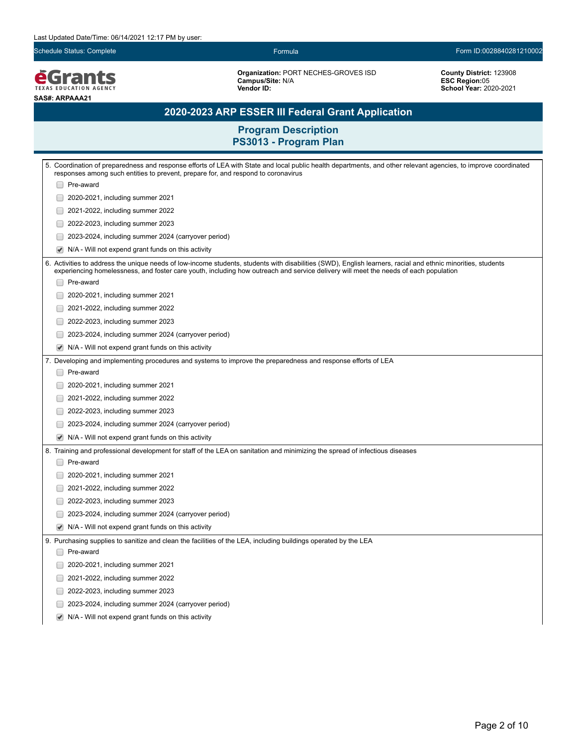**EGrants SAS#: ARPAAA21**

**Organization:** PORT NECHES-GROVES ISD **Campus/Site:** N/A **Vendor ID:** 

**County District:** 123908 **ESC Region:**05 **School Year:** 2020-2021

## **2020-2023 ARP ESSER III Federal Grant Application**

| 5. Coordination of preparedness and response efforts of LEA with State and local public health departments, and other relevant agencies, to improve coordinated<br>responses among such entities to prevent, prepare for, and respond to coronavirus                                                 |  |  |  |
|------------------------------------------------------------------------------------------------------------------------------------------------------------------------------------------------------------------------------------------------------------------------------------------------------|--|--|--|
| Pre-award                                                                                                                                                                                                                                                                                            |  |  |  |
| 2020-2021, including summer 2021                                                                                                                                                                                                                                                                     |  |  |  |
| 2021-2022, including summer 2022                                                                                                                                                                                                                                                                     |  |  |  |
| 2022-2023, including summer 2023                                                                                                                                                                                                                                                                     |  |  |  |
| 2023-2024, including summer 2024 (carryover period)                                                                                                                                                                                                                                                  |  |  |  |
| $\blacktriangledown$<br>N/A - Will not expend grant funds on this activity                                                                                                                                                                                                                           |  |  |  |
| 6. Activities to address the unique needs of low-income students, students with disabilities (SWD), English learners, racial and ethnic minorities, students<br>experiencing homelessness, and foster care youth, including how outreach and service delivery will meet the needs of each population |  |  |  |
| Pre-award                                                                                                                                                                                                                                                                                            |  |  |  |
| 2020-2021, including summer 2021<br>$\Box$                                                                                                                                                                                                                                                           |  |  |  |
| 2021-2022, including summer 2022<br>$\Box$                                                                                                                                                                                                                                                           |  |  |  |
| 2022-2023, including summer 2023<br>$\overline{\phantom{a}}$                                                                                                                                                                                                                                         |  |  |  |
| 2023-2024, including summer 2024 (carryover period)                                                                                                                                                                                                                                                  |  |  |  |
| N/A - Will not expend grant funds on this activity<br>$\blacktriangledown$                                                                                                                                                                                                                           |  |  |  |
| 7. Developing and implementing procedures and systems to improve the preparedness and response efforts of LEA                                                                                                                                                                                        |  |  |  |
| Pre-award                                                                                                                                                                                                                                                                                            |  |  |  |
| 2020-2021, including summer 2021                                                                                                                                                                                                                                                                     |  |  |  |
| 2021-2022, including summer 2022                                                                                                                                                                                                                                                                     |  |  |  |
| 2022-2023, including summer 2023<br>$\overline{\phantom{a}}$                                                                                                                                                                                                                                         |  |  |  |
| 2023-2024, including summer 2024 (carryover period)<br>$\Box$                                                                                                                                                                                                                                        |  |  |  |
| N/A - Will not expend grant funds on this activity                                                                                                                                                                                                                                                   |  |  |  |
| 8. Training and professional development for staff of the LEA on sanitation and minimizing the spread of infectious diseases                                                                                                                                                                         |  |  |  |
| Pre-award                                                                                                                                                                                                                                                                                            |  |  |  |
| 2020-2021, including summer 2021                                                                                                                                                                                                                                                                     |  |  |  |
| 2021-2022, including summer 2022                                                                                                                                                                                                                                                                     |  |  |  |
| 2022-2023, including summer 2023                                                                                                                                                                                                                                                                     |  |  |  |
| 2023-2024, including summer 2024 (carryover period)                                                                                                                                                                                                                                                  |  |  |  |
| N/A - Will not expend grant funds on this activity<br>$\blacktriangleright$                                                                                                                                                                                                                          |  |  |  |
| 9. Purchasing supplies to sanitize and clean the facilities of the LEA, including buildings operated by the LEA                                                                                                                                                                                      |  |  |  |
| Pre-award                                                                                                                                                                                                                                                                                            |  |  |  |
| 2020-2021, including summer 2021                                                                                                                                                                                                                                                                     |  |  |  |
| 2021-2022, including summer 2022                                                                                                                                                                                                                                                                     |  |  |  |
| $\Box$<br>2022-2023, including summer 2023                                                                                                                                                                                                                                                           |  |  |  |
| 2023-2024, including summer 2024 (carryover period)<br>$\overline{\phantom{a}}$                                                                                                                                                                                                                      |  |  |  |
| N/A - Will not expend grant funds on this activity                                                                                                                                                                                                                                                   |  |  |  |
|                                                                                                                                                                                                                                                                                                      |  |  |  |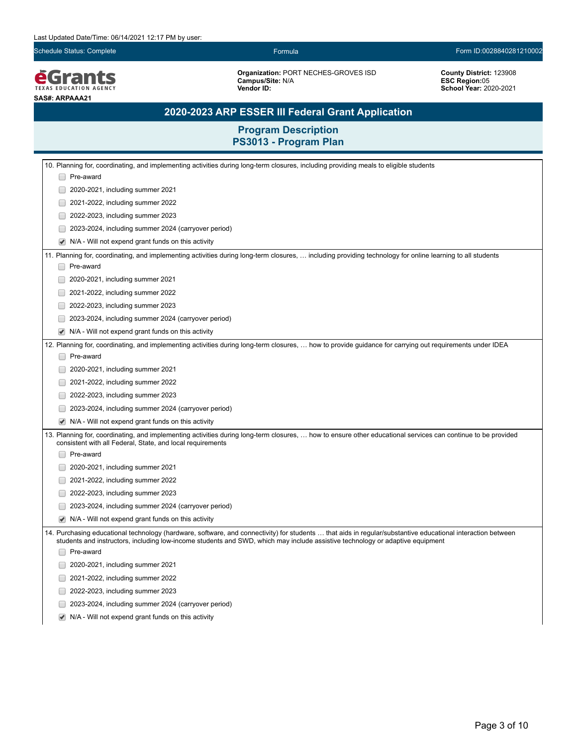**EGrants SAS#: ARPAAA21**

**Organization:** PORT NECHES-GROVES ISD **Campus/Site:** N/A **Vendor ID:** 

**County District:** 123908 **ESC Region:**05 **School Year:** 2020-2021

# **2020-2023 ARP ESSER III Federal Grant Application**

| 10. Planning for, coordinating, and implementing activities during long-term closures, including providing meals to eligible students                                                                                                                                                        |  |  |  |
|----------------------------------------------------------------------------------------------------------------------------------------------------------------------------------------------------------------------------------------------------------------------------------------------|--|--|--|
| □ Pre-award                                                                                                                                                                                                                                                                                  |  |  |  |
| 2020-2021, including summer 2021                                                                                                                                                                                                                                                             |  |  |  |
| 2021-2022, including summer 2022                                                                                                                                                                                                                                                             |  |  |  |
| 2022-2023, including summer 2023                                                                                                                                                                                                                                                             |  |  |  |
| 2023-2024, including summer 2024 (carryover period)                                                                                                                                                                                                                                          |  |  |  |
| N/A - Will not expend grant funds on this activity                                                                                                                                                                                                                                           |  |  |  |
| 11. Planning for, coordinating, and implementing activities during long-term closures,  including providing technology for online learning to all students                                                                                                                                   |  |  |  |
| Pre-award                                                                                                                                                                                                                                                                                    |  |  |  |
| 2020-2021, including summer 2021                                                                                                                                                                                                                                                             |  |  |  |
| 2021-2022, including summer 2022                                                                                                                                                                                                                                                             |  |  |  |
| 2022-2023, including summer 2023                                                                                                                                                                                                                                                             |  |  |  |
| 2023-2024, including summer 2024 (carryover period)                                                                                                                                                                                                                                          |  |  |  |
| N/A - Will not expend grant funds on this activity                                                                                                                                                                                                                                           |  |  |  |
| 12. Planning for, coordinating, and implementing activities during long-term closures,  how to provide guidance for carrying out requirements under IDEA                                                                                                                                     |  |  |  |
| Pre-award                                                                                                                                                                                                                                                                                    |  |  |  |
| 2020-2021, including summer 2021                                                                                                                                                                                                                                                             |  |  |  |
| 2021-2022, including summer 2022                                                                                                                                                                                                                                                             |  |  |  |
| 2022-2023, including summer 2023                                                                                                                                                                                                                                                             |  |  |  |
| 2023-2024, including summer 2024 (carryover period)                                                                                                                                                                                                                                          |  |  |  |
| N/A - Will not expend grant funds on this activity                                                                                                                                                                                                                                           |  |  |  |
| 13. Planning for, coordinating, and implementing activities during long-term closures,  how to ensure other educational services can continue to be provided<br>consistent with all Federal, State, and local requirements                                                                   |  |  |  |
| Pre-award                                                                                                                                                                                                                                                                                    |  |  |  |
| 2020-2021, including summer 2021                                                                                                                                                                                                                                                             |  |  |  |
| 2021-2022, including summer 2022                                                                                                                                                                                                                                                             |  |  |  |
| 2022-2023, including summer 2023                                                                                                                                                                                                                                                             |  |  |  |
| 2023-2024, including summer 2024 (carryover period)                                                                                                                                                                                                                                          |  |  |  |
| N/A - Will not expend grant funds on this activity                                                                                                                                                                                                                                           |  |  |  |
| 14. Purchasing educational technology (hardware, software, and connectivity) for students  that aids in regular/substantive educational interaction between<br>students and instructors, including low-income students and SWD, which may include assistive technology or adaptive equipment |  |  |  |
| Pre-award                                                                                                                                                                                                                                                                                    |  |  |  |
| 2020-2021, including summer 2021                                                                                                                                                                                                                                                             |  |  |  |
| 2021-2022, including summer 2022                                                                                                                                                                                                                                                             |  |  |  |
| 2022-2023, including summer 2023                                                                                                                                                                                                                                                             |  |  |  |
| 2023-2024, including summer 2024 (carryover period)                                                                                                                                                                                                                                          |  |  |  |
| N/A - Will not expend grant funds on this activity                                                                                                                                                                                                                                           |  |  |  |
|                                                                                                                                                                                                                                                                                              |  |  |  |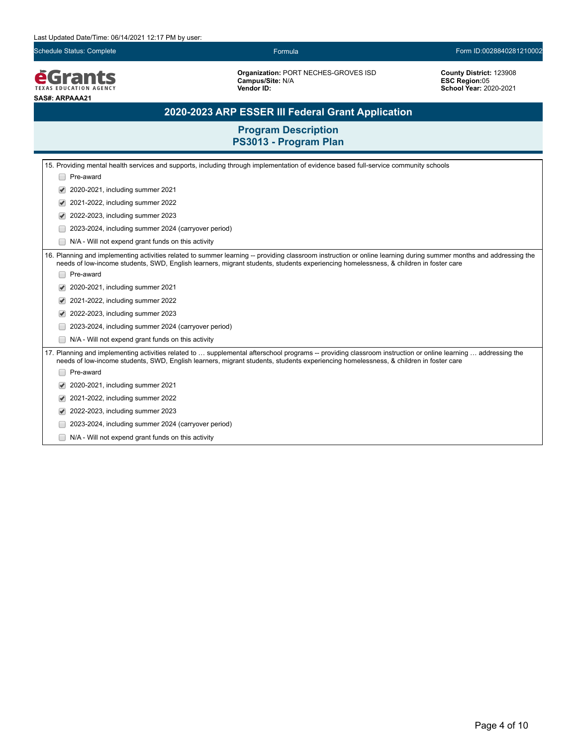

**Organization:** PORT NECHES-GROVES ISD **Campus/Site:** N/A **Vendor ID:** 

**County District:** 123908 **ESC Region:**05 **School Year:** 2020-2021

# **2020-2023 ARP ESSER III Federal Grant Application**

|                                                                                                                                                                                                                                                                                                      | 15. Providing mental health services and supports, including through implementation of evidence based full-service community schools                                                                                                                                                                      |  |  |  |
|------------------------------------------------------------------------------------------------------------------------------------------------------------------------------------------------------------------------------------------------------------------------------------------------------|-----------------------------------------------------------------------------------------------------------------------------------------------------------------------------------------------------------------------------------------------------------------------------------------------------------|--|--|--|
|                                                                                                                                                                                                                                                                                                      | Pre-award                                                                                                                                                                                                                                                                                                 |  |  |  |
|                                                                                                                                                                                                                                                                                                      | 2020-2021, including summer 2021                                                                                                                                                                                                                                                                          |  |  |  |
|                                                                                                                                                                                                                                                                                                      | 2021-2022, including summer 2022<br>✔                                                                                                                                                                                                                                                                     |  |  |  |
|                                                                                                                                                                                                                                                                                                      | 2022-2023, including summer 2023                                                                                                                                                                                                                                                                          |  |  |  |
|                                                                                                                                                                                                                                                                                                      | 2023-2024, including summer 2024 (carryover period)                                                                                                                                                                                                                                                       |  |  |  |
|                                                                                                                                                                                                                                                                                                      | N/A - Will not expend grant funds on this activity                                                                                                                                                                                                                                                        |  |  |  |
|                                                                                                                                                                                                                                                                                                      | 16. Planning and implementing activities related to summer learning -- providing classroom instruction or online learning during summer months and addressing the<br>needs of low-income students, SWD, English learners, migrant students, students experiencing homelessness, & children in foster care |  |  |  |
|                                                                                                                                                                                                                                                                                                      | Pre-award                                                                                                                                                                                                                                                                                                 |  |  |  |
| 2020-2021, including summer 2021                                                                                                                                                                                                                                                                     |                                                                                                                                                                                                                                                                                                           |  |  |  |
| 2021-2022, including summer 2022                                                                                                                                                                                                                                                                     |                                                                                                                                                                                                                                                                                                           |  |  |  |
| 2022-2023, including summer 2023                                                                                                                                                                                                                                                                     |                                                                                                                                                                                                                                                                                                           |  |  |  |
|                                                                                                                                                                                                                                                                                                      | 2023-2024, including summer 2024 (carryover period)                                                                                                                                                                                                                                                       |  |  |  |
|                                                                                                                                                                                                                                                                                                      | N/A - Will not expend grant funds on this activity                                                                                                                                                                                                                                                        |  |  |  |
| 17. Planning and implementing activities related to  supplemental afterschool programs -- providing classroom instruction or online learning  addressing the<br>needs of low-income students, SWD, English learners, migrant students, students experiencing homelessness, & children in foster care |                                                                                                                                                                                                                                                                                                           |  |  |  |
|                                                                                                                                                                                                                                                                                                      | Pre-award                                                                                                                                                                                                                                                                                                 |  |  |  |
|                                                                                                                                                                                                                                                                                                      | 2020-2021, including summer 2021                                                                                                                                                                                                                                                                          |  |  |  |
|                                                                                                                                                                                                                                                                                                      | 2021-2022, including summer 2022                                                                                                                                                                                                                                                                          |  |  |  |
|                                                                                                                                                                                                                                                                                                      | 2022-2023, including summer 2023                                                                                                                                                                                                                                                                          |  |  |  |
|                                                                                                                                                                                                                                                                                                      | 2023-2024, including summer 2024 (carryover period)                                                                                                                                                                                                                                                       |  |  |  |
|                                                                                                                                                                                                                                                                                                      | N/A - Will not expend grant funds on this activity                                                                                                                                                                                                                                                        |  |  |  |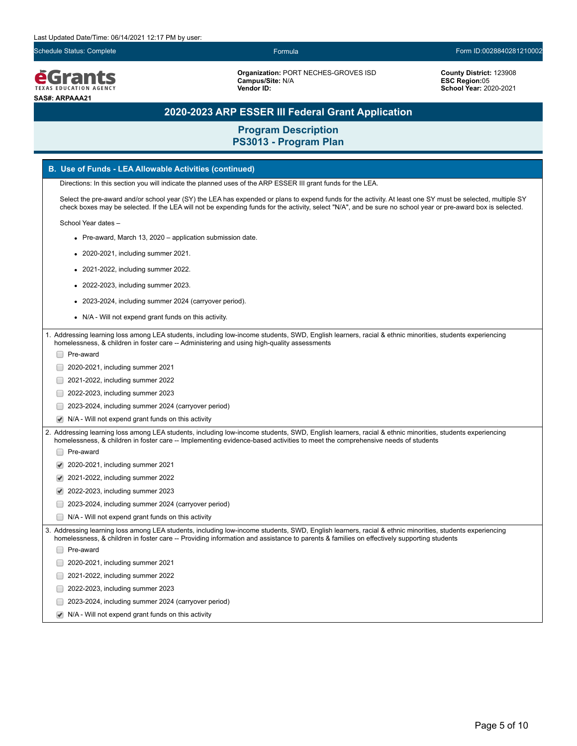

**Organization:** PORT NECHES-GROVES ISD **Campus/Site:** N/A **Vendor ID:** 

### **County District:** 123908 **ESC Region:**05 **School Year:** 2020-2021

# **2020-2023 ARP ESSER III Federal Grant Application**

|  | <b>B. Use of Funds - LEA Allowable Activities (continued)</b>                                                                                                                                                                                                                                                              |
|--|----------------------------------------------------------------------------------------------------------------------------------------------------------------------------------------------------------------------------------------------------------------------------------------------------------------------------|
|  | Directions: In this section you will indicate the planned uses of the ARP ESSER III grant funds for the LEA.                                                                                                                                                                                                               |
|  | Select the pre-award and/or school year (SY) the LEA has expended or plans to expend funds for the activity. At least one SY must be selected, multiple SY<br>check boxes may be selected. If the LEA will not be expending funds for the activity, select "N/A", and be sure no school year or pre-award box is selected. |
|  | School Year dates -                                                                                                                                                                                                                                                                                                        |
|  | • Pre-award, March 13, 2020 - application submission date.                                                                                                                                                                                                                                                                 |
|  | 2020-2021, including summer 2021.                                                                                                                                                                                                                                                                                          |
|  | 2021-2022, including summer 2022.                                                                                                                                                                                                                                                                                          |
|  | 2022-2023, including summer 2023.                                                                                                                                                                                                                                                                                          |
|  | 2023-2024, including summer 2024 (carryover period).                                                                                                                                                                                                                                                                       |
|  | N/A - Will not expend grant funds on this activity.                                                                                                                                                                                                                                                                        |
|  |                                                                                                                                                                                                                                                                                                                            |
|  | 1. Addressing learning loss among LEA students, including low-income students, SWD, English learners, racial & ethnic minorities, students experiencing<br>homelessness, & children in foster care -- Administering and using high-quality assessments                                                                     |
|  | Pre-award                                                                                                                                                                                                                                                                                                                  |
|  | 2020-2021, including summer 2021                                                                                                                                                                                                                                                                                           |
|  | 2021-2022, including summer 2022                                                                                                                                                                                                                                                                                           |
|  | 2022-2023, including summer 2023                                                                                                                                                                                                                                                                                           |
|  | 2023-2024, including summer 2024 (carryover period)                                                                                                                                                                                                                                                                        |
|  | N/A - Will not expend grant funds on this activity                                                                                                                                                                                                                                                                         |
|  | Addressing learning loss among LEA students, including low-income students, SWD, English learners, racial & ethnic minorities, students experiencing<br>homelessness, & children in foster care -- Implementing evidence-based activities to meet the comprehensive needs of students                                      |
|  | Pre-award                                                                                                                                                                                                                                                                                                                  |
|  | 2020-2021, including summer 2021                                                                                                                                                                                                                                                                                           |
|  | 2021-2022, including summer 2022                                                                                                                                                                                                                                                                                           |
|  | 2022-2023, including summer 2023                                                                                                                                                                                                                                                                                           |
|  | 2023-2024, including summer 2024 (carryover period)                                                                                                                                                                                                                                                                        |
|  | N/A - Will not expend grant funds on this activity                                                                                                                                                                                                                                                                         |
|  | 3. Addressing learning loss among LEA students, including low-income students, SWD, English learners, racial & ethnic minorities, students experiencing<br>homelessness, & children in foster care -- Providing information and assistance to parents & families on effectively supporting students                        |
|  | Pre-award                                                                                                                                                                                                                                                                                                                  |
|  | 2020-2021, including summer 2021                                                                                                                                                                                                                                                                                           |
|  | 2021-2022, including summer 2022                                                                                                                                                                                                                                                                                           |
|  | 2022-2023, including summer 2023                                                                                                                                                                                                                                                                                           |
|  | 2023-2024, including summer 2024 (carryover period)                                                                                                                                                                                                                                                                        |
|  | N/A - Will not expend grant funds on this activity                                                                                                                                                                                                                                                                         |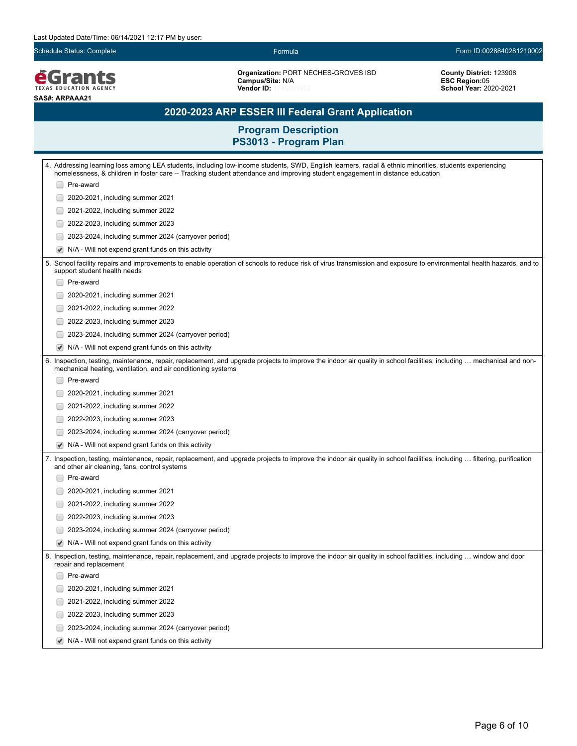**EGrants SAS#: ARPAAA21**

**Organization:** PORT NECHES-GROVES ISD **Campus/Site:** N/A **Vendor ID:** 

**County District:** 123908 **ESC Region:**05 **School Year:** 2020-2021

# **2020-2023 ARP ESSER III Federal Grant Application**

| 4. Addressing learning loss among LEA students, including low-income students, SWD, English learners, racial & ethnic minorities, students experiencing<br>homelessness, & children in foster care -- Tracking student attendance and improving student engagement in distance education |  |  |  |
|------------------------------------------------------------------------------------------------------------------------------------------------------------------------------------------------------------------------------------------------------------------------------------------|--|--|--|
| □ Pre-award                                                                                                                                                                                                                                                                              |  |  |  |
| 2020-2021, including summer 2021                                                                                                                                                                                                                                                         |  |  |  |
| 2021-2022, including summer 2022                                                                                                                                                                                                                                                         |  |  |  |
| 2022-2023, including summer 2023                                                                                                                                                                                                                                                         |  |  |  |
| 2023-2024, including summer 2024 (carryover period)                                                                                                                                                                                                                                      |  |  |  |
| N/A - Will not expend grant funds on this activity                                                                                                                                                                                                                                       |  |  |  |
| 5. School facility repairs and improvements to enable operation of schools to reduce risk of virus transmission and exposure to environmental health hazards, and to<br>support student health needs                                                                                     |  |  |  |
| Pre-award                                                                                                                                                                                                                                                                                |  |  |  |
| 2020-2021, including summer 2021                                                                                                                                                                                                                                                         |  |  |  |
| 2021-2022, including summer 2022                                                                                                                                                                                                                                                         |  |  |  |
| 2022-2023, including summer 2023                                                                                                                                                                                                                                                         |  |  |  |
| 2023-2024, including summer 2024 (carryover period)                                                                                                                                                                                                                                      |  |  |  |
| N/A - Will not expend grant funds on this activity                                                                                                                                                                                                                                       |  |  |  |
| 6. Inspection, testing, maintenance, repair, replacement, and upgrade projects to improve the indoor air quality in school facilities, including  mechanical and non-<br>mechanical heating, ventilation, and air conditioning systems                                                   |  |  |  |
| Pre-award                                                                                                                                                                                                                                                                                |  |  |  |
| 2020-2021, including summer 2021                                                                                                                                                                                                                                                         |  |  |  |
| 2021-2022, including summer 2022                                                                                                                                                                                                                                                         |  |  |  |
| 2022-2023, including summer 2023                                                                                                                                                                                                                                                         |  |  |  |
| 2023-2024, including summer 2024 (carryover period)                                                                                                                                                                                                                                      |  |  |  |
| N/A - Will not expend grant funds on this activity                                                                                                                                                                                                                                       |  |  |  |
| 7. Inspection, testing, maintenance, repair, replacement, and upgrade projects to improve the indoor air quality in school facilities, including  filtering, purification<br>and other air cleaning, fans, control systems                                                               |  |  |  |
| Pre-award                                                                                                                                                                                                                                                                                |  |  |  |
| 2020-2021, including summer 2021                                                                                                                                                                                                                                                         |  |  |  |
| 2021-2022, including summer 2022                                                                                                                                                                                                                                                         |  |  |  |
| 2022-2023, including summer 2023                                                                                                                                                                                                                                                         |  |  |  |
| 2023-2024, including summer 2024 (carryover period)                                                                                                                                                                                                                                      |  |  |  |
| N/A - Will not expend grant funds on this activity                                                                                                                                                                                                                                       |  |  |  |
| 8. Inspection, testing, maintenance, repair, replacement, and upgrade projects to improve the indoor air quality in school facilities, including  window and door<br>repair and replacement                                                                                              |  |  |  |
| Pre-award                                                                                                                                                                                                                                                                                |  |  |  |
| 2020-2021, including summer 2021                                                                                                                                                                                                                                                         |  |  |  |
| 2021-2022, including summer 2022                                                                                                                                                                                                                                                         |  |  |  |
| 2022-2023, including summer 2023                                                                                                                                                                                                                                                         |  |  |  |
| 2023-2024, including summer 2024 (carryover period)                                                                                                                                                                                                                                      |  |  |  |
| N/A - Will not expend grant funds on this activity                                                                                                                                                                                                                                       |  |  |  |
|                                                                                                                                                                                                                                                                                          |  |  |  |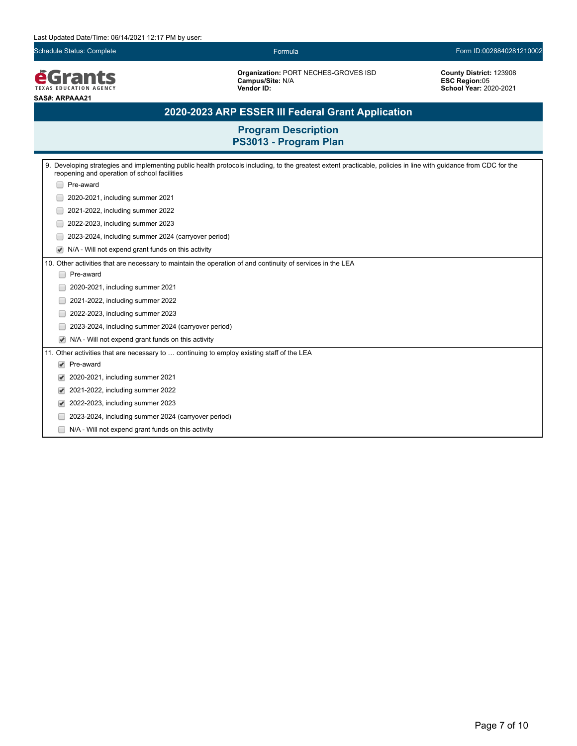

**Organization:** PORT NECHES-GROVES ISD **Campus/Site:** N/A **Vendor ID:** 1746001932

**County District:** 123908 **ESC Region:**05 **School Year:** 2020-2021

# **2020-2023 ARP ESSER III Federal Grant Application**

| 9. Developing strategies and implementing public health protocols including, to the greatest extent practicable, policies in line with guidance from CDC for the<br>reopening and operation of school facilities |  |  |  |
|------------------------------------------------------------------------------------------------------------------------------------------------------------------------------------------------------------------|--|--|--|
| Pre-award                                                                                                                                                                                                        |  |  |  |
| 2020-2021, including summer 2021                                                                                                                                                                                 |  |  |  |
| 2021-2022, including summer 2022                                                                                                                                                                                 |  |  |  |
| 2022-2023, including summer 2023                                                                                                                                                                                 |  |  |  |
| 2023-2024, including summer 2024 (carryover period)                                                                                                                                                              |  |  |  |
| N/A - Will not expend grant funds on this activity<br>$\blacktriangledown$                                                                                                                                       |  |  |  |
| 10. Other activities that are necessary to maintain the operation of and continuity of services in the LEA                                                                                                       |  |  |  |
| Pre-award                                                                                                                                                                                                        |  |  |  |
| 2020-2021, including summer 2021                                                                                                                                                                                 |  |  |  |
| 2021-2022, including summer 2022                                                                                                                                                                                 |  |  |  |
| 2022-2023, including summer 2023                                                                                                                                                                                 |  |  |  |
| 2023-2024, including summer 2024 (carryover period)                                                                                                                                                              |  |  |  |
| N/A - Will not expend grant funds on this activity<br>$\blacktriangledown$                                                                                                                                       |  |  |  |
| 11. Other activities that are necessary to  continuing to employ existing staff of the LEA                                                                                                                       |  |  |  |
| Pre-award<br>$\blacktriangledown$                                                                                                                                                                                |  |  |  |
| 2020-2021, including summer 2021<br>$\blacktriangledown$                                                                                                                                                         |  |  |  |
| 2021-2022, including summer 2022<br>$\blacktriangledown$                                                                                                                                                         |  |  |  |
| 2022-2023, including summer 2023<br>$\blacktriangledown$                                                                                                                                                         |  |  |  |
| 2023-2024, including summer 2024 (carryover period)                                                                                                                                                              |  |  |  |
| N/A - Will not expend grant funds on this activity                                                                                                                                                               |  |  |  |
|                                                                                                                                                                                                                  |  |  |  |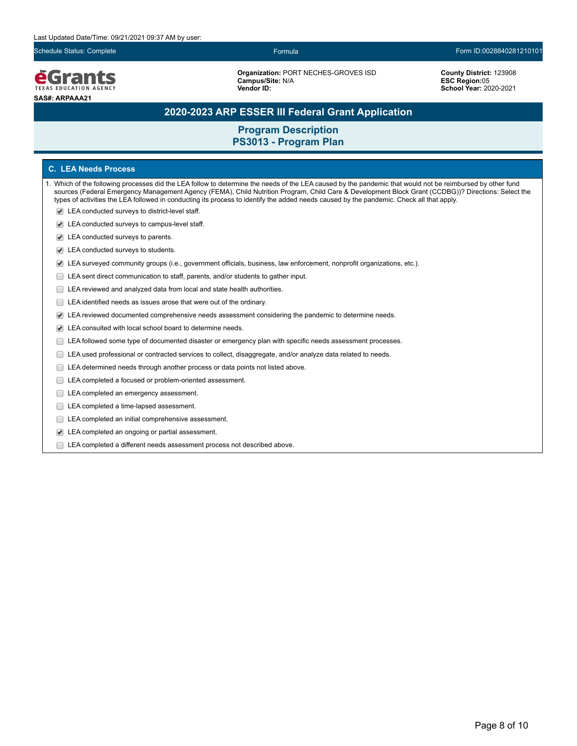

**Organization:** PORT NECHES-GROVES ISD **Campus/Site:** N/A **Vendor ID:** 

### **County District:** 123908 **ESC Region:**05 **School Year:** 2020-2021

### **2020-2023 ARP ESSER III Federal Grant Application**

### **Program Description PS3013 - Program Plan**

### **C. LEA Needs Process**

- 1. Which of the following processes did the LEA follow to determine the needs of the LEA caused by the pandemic that would not be reimbursed by other fund sources (Federal Emergency Management Agency (FEMA), Child Nutrition Program, Child Care & Development Block Grant (CCDBG))? Directions: Select the types of activities the LEA followed in conducting its process to identify the added needs caused by the pandemic. Check all that apply.
	- LEA conducted surveys to district-level staff.
	- LEA conducted surveys to campus-level staff.
	- LEA conducted surveys to parents.
	- LEA conducted surveys to students.
	- LEA surveyed community groups (i.e., government officials, business, law enforcement, nonprofit organizations, etc.).
	- LEA sent direct communication to staff, parents, and/or students to gather input.
	- E LEA reviewed and analyzed data from local and state health authorities.
	- E LEA identified needs as issues arose that were out of the ordinary.
	- LEA reviewed documented comprehensive needs assessment considering the pandemic to determine needs.
	- LEA consulted with local school board to determine needs.
	- LEA followed some type of documented disaster or emergency plan with specific needs assessment processes.
	- LEA used professional or contracted services to collect, disaggregate, and/or analyze data related to needs.
	- LEA determined needs through another process or data points not listed above.
	- LEA completed a focused or problem-oriented assessment.
	- LEA completed an emergency assessment.
	- LEA completed a time-lapsed assessment.
	- **LEA** completed an initial comprehensive assessment.
	- LEA completed an ongoing or partial assessment.
	- LEA completed a different needs assessment process not described above.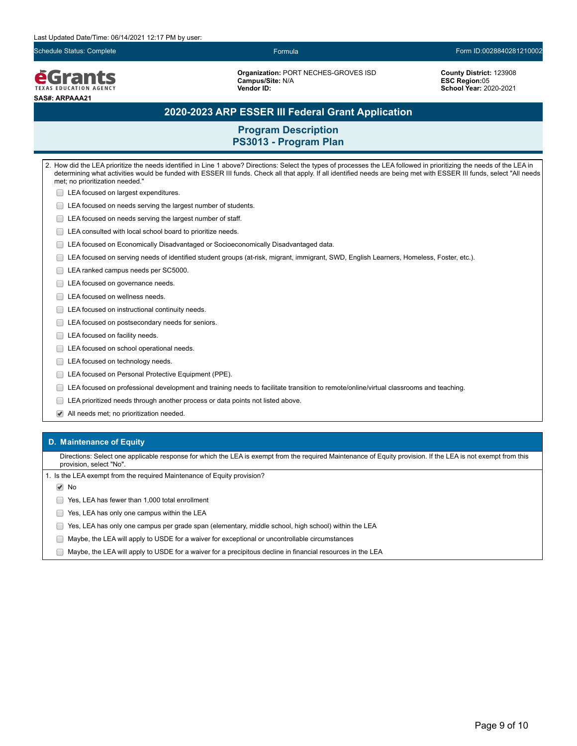

**Organization:** PORT NECHES-GROVES ISD **Campus/Site:** N/A **Vendor ID:** 

**County District:** 123908 **ESC Region:**05 **School Year:** 2020-2021

### **2020-2023 ARP ESSER III Federal Grant Application**

### **Program Description PS3013 - Program Plan**

2. How did the LEA prioritize the needs identified in Line 1 above? Directions: Select the types of processes the LEA followed in prioritizing the needs of the LEA in determining what activities would be funded with ESSER III funds. Check all that apply. If all identified needs are being met with ESSER III funds, select "All needs met; no prioritization needed." **LEA** focused on largest expenditures. **LEA** focused on needs serving the largest number of students. **LEA** focused on needs serving the largest number of staff. LEA consulted with local school board to prioritize needs. LEA focused on Economically Disadvantaged or Socioeconomically Disadvantaged data. LEA focused on serving needs of identified student groups (at-risk, migrant, immigrant, SWD, English Learners, Homeless, Foster, etc.). LEA ranked campus needs per SC5000. LEA focused on governance needs. □ LEA focused on wellness needs. **LEA** focused on instructional continuity needs. **LEA** focused on postsecondary needs for seniors. LEA focused on facility needs. **LEA** focused on school operational needs. LEA focused on technology needs. **LEA focused on Personal Protective Equipment (PPE).** LEA focused on professional development and training needs to facilitate transition to remote/online/virtual classrooms and teaching. LEA prioritized needs through another process or data points not listed above. All needs met; no prioritization needed.

### **D. Maintenance of Equity**

Directions: Select one applicable response for which the LEA is exempt from the required Maintenance of Equity provision. If the LEA is not exempt from this provision, select "No".

1. Is the LEA exempt from the required Maintenance of Equity provision?

**√** No

Yes, LEA has fewer than 1,000 total enrollment

- **The State State State State State State State State State State State State State State State State State State State State State State State State State State State State State State State State State State State State S**
- Yes, LEA has only one campus per grade span (elementary, middle school, high school) within the LEA
- Maybe, the LEA will apply to USDE for a waiver for exceptional or uncontrollable circumstances
- Maybe, the LEA will apply to USDE for a waiver for a precipitous decline in financial resources in the LEA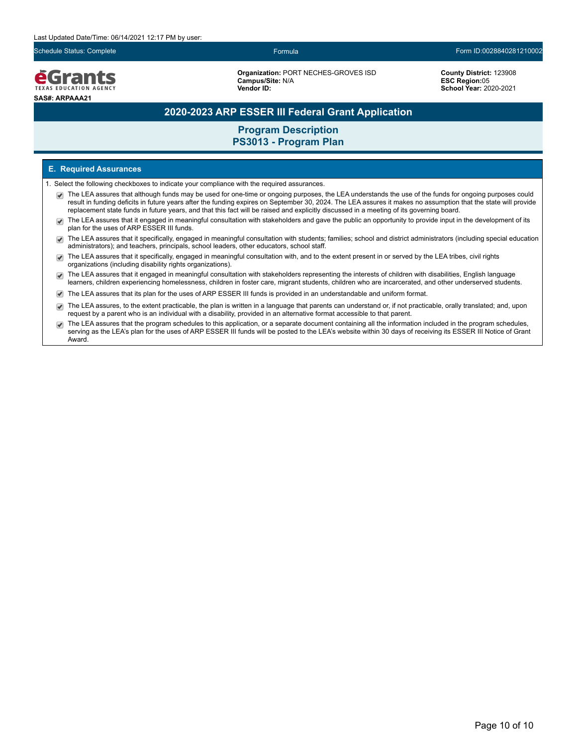

**Organization:** PORT NECHES-GROVES ISD **Campus/Site:** N/A **Vendor ID:** 

**County District:** 123908 **ESC Region:**05 **School Year:** 2020-2021

### **2020-2023 ARP ESSER III Federal Grant Application**

### **Program Description PS3013 - Program Plan**

### **E. Required Assurances**

- 1. Select the following checkboxes to indicate your compliance with the required assurances.
	- The LEA assures that although funds may be used for one-time or ongoing purposes, the LEA understands the use of the funds for ongoing purposes could result in funding deficits in future years after the funding expires on September 30, 2024. The LEA assures it makes no assumption that the state will provide replacement state funds in future years, and that this fact will be raised and explicitly discussed in a meeting of its governing board.
	- The LEA assures that it engaged in meaningful consultation with stakeholders and gave the public an opportunity to provide input in the development of its  $\overline{\mathcal{L}}$ plan for the uses of ARP ESSER III funds.
	- The LEA assures that it specifically, engaged in meaningful consultation with students; families; school and district administrators (including special education administrators); and teachers, principals, school leaders, other educators, school staff.
	- The LEA assures that it specifically, engaged in meaningful consultation with, and to the extent present in or served by the LEA tribes, civil rights organizations (including disability rights organizations).
	- The LEA assures that it engaged in meaningful consultation with stakeholders representing the interests of children with disabilities, English language  $\blacktriangledown$ learners, children experiencing homelessness, children in foster care, migrant students, children who are incarcerated, and other underserved students.
	- The LEA assures that its plan for the uses of ARP ESSER III funds is provided in an understandable and uniform format.
	- The LEA assures, to the extent practicable, the plan is written in a language that parents can understand or, if not practicable, orally translated; and, upon request by a parent who is an individual with a disability, provided in an alternative format accessible to that parent.
	- The LEA assures that the program schedules to this application, or a separate document containing all the information included in the program schedules, serving as the LEA's plan for the uses of ARP ESSER III funds will be posted to the LEA's website within 30 days of receiving its ESSER III Notice of Grant Award.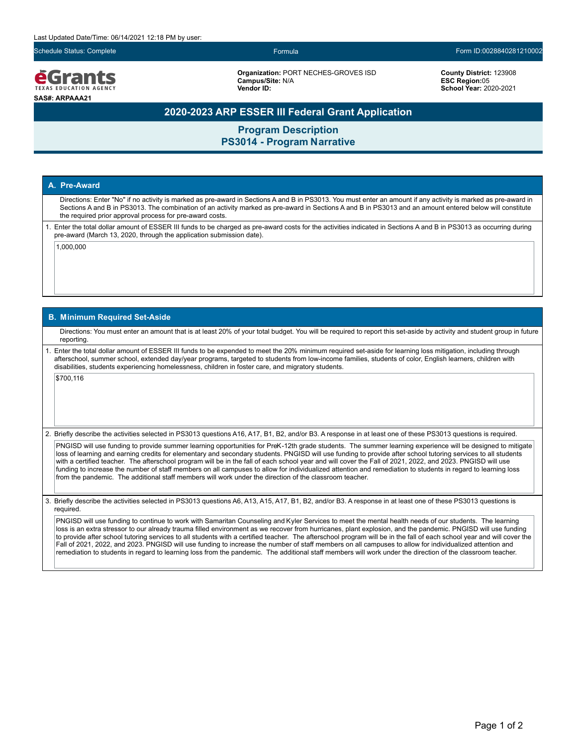

**Organization:** PORT NECHES-GROVES ISD **Campus/Site:** N/A **Vendor ID:**

### **County District:** 123908 **ESC Region:**05 **School Year:** 2020-2021

### **2020-2023 ARP ESSER III Federal Grant Application**

**Program Description PS3014 - Program Narrative**

### **A. Pre-Award**

Directions: Enter "No" if no activity is marked as pre-award in Sections A and B in PS3013. You must enter an amount if any activity is marked as pre-award in Sections A and B in PS3013. The combination of an activity marked as pre-award in Sections A and B in PS3013 and an amount entered below will constitute the required prior approval process for pre-award costs.

1. Enter the total dollar amount of ESSER III funds to be charged as pre-award costs for the activities indicated in Sections A and B in PS3013 as occurring during pre-award (March 13, 2020, through the application submission date).

1,000,000

### **B. Minimum Required Set-Aside**

Directions: You must enter an amount that is at least 20% of your total budget. You will be required to report this set-aside by activity and student group in future reporting.

1. Enter the total dollar amount of ESSER III funds to be expended to meet the 20% minimum required set-aside for learning loss mitigation, including through afterschool, summer school, extended day/year programs, targeted to students from low-income families, students of color, English learners, children with disabilities, students experiencing homelessness, children in foster care, and migratory students.

\$700,116

2. Briefly describe the activities selected in PS3013 questions A16, A17, B1, B2, and/or B3. A response in at least one of these PS3013 questions is required.

PNGISD will use funding to provide summer learning opportunities for PreK-12th grade students. The summer learning experience will be designed to mitigate loss of learning and earning credits for elementary and secondary students. PNGISD will use funding to provide after school tutoring services to all students with a certified teacher. The afterschool program will be in the fall of each school year and will cover the Fall of 2021, 2022, and 2023. PNGISD will use funding to increase the number of staff members on all campuses to allow for individualized attention and remediation to students in regard to learning loss from the pandemic. The additional staff members will work under the direction of the classroom teacher.

3. Briefly describe the activities selected in PS3013 questions A6, A13, A15, A17, B1, B2, and/or B3. A response in at least one of these PS3013 questions is required.

PNGISD will use funding to continue to work with Samaritan Counseling and Kyler Services to meet the mental health needs of our students. The learning loss is an extra stressor to our already trauma filled environment as we recover from hurricanes, plant explosion, and the pandemic. PNGISD will use funding to provide after school tutoring services to all students with a certified teacher. The afterschool program will be in the fall of each school year and will cover the Fall of 2021, 2022, and 2023. PNGISD will use funding to increase the number of staff members on all campuses to allow for individualized attention and remediation to students in regard to learning loss from the pandemic. The additional staff members will work under the direction of the classroom teacher.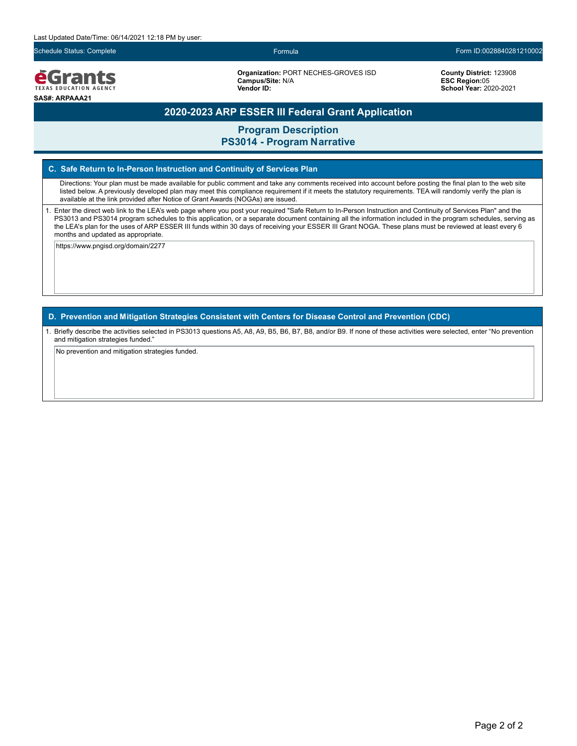

**Organization:** PORT NECHES-GROVES ISD **Campus/Site:** N/A **Vendor ID:** 

### **County District:** 123908 **ESC Region:**05 **School Year:** 2020-2021

### **2020-2023 ARP ESSER III Federal Grant Application**

**Program Description**

### **PS3014 - Program Narrative**

### **C. Safe Return to In-Person Instruction and Continuity of Services Plan**

Directions: Your plan must be made available for public comment and take any comments received into account before posting the final plan to the web site listed below. A previously developed plan may meet this compliance requirement if it meets the statutory requirements. TEA will randomly verify the plan is available at the link provided after Notice of Grant Awards (NOGAs) are issued.

1. Enter the direct web link to the LEA's web page where you post your required "Safe Return to In-Person Instruction and Continuity of Services Plan" and the PS3013 and PS3014 program schedules to this application, or a separate document containing all the information included in the program schedules, serving as the LEA's plan for the uses of ARP ESSER III funds within 30 days of receiving your ESSER III Grant NOGA. These plans must be reviewed at least every 6 months and updated as appropriate.

https://www.pngisd.org/domain/2277

**D. Prevention and Mitigation Strategies Consistent with Centers for Disease Control and Prevention (CDC)**

1. Briefly describe the activities selected in PS3013 questions A5, A8, A9, B5, B6, B7, B8, and/or B9. If none of these activities were selected, enter "No prevention and mitigation strategies funded."

No prevention and mitigation strategies funded.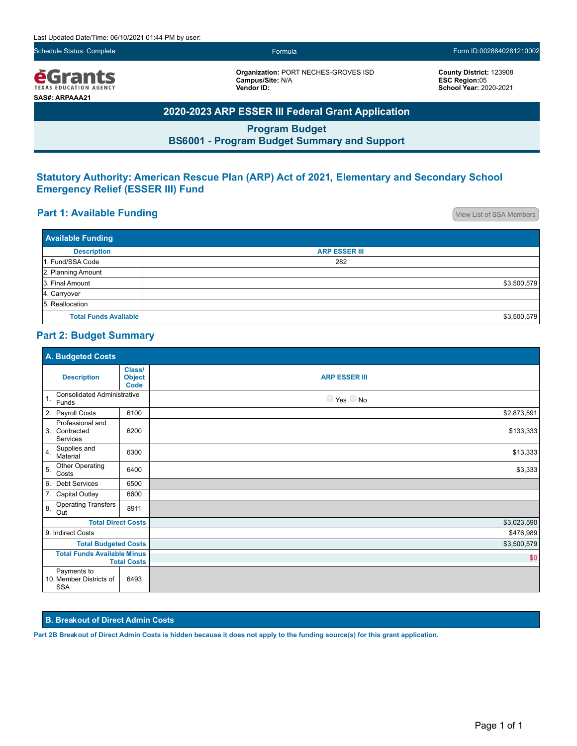*<u>e</u>Grants* TEXAS EDUCATION AGENCY **SAS#: ARPAAA21**

**Organization:** PORT NECHES-GROVES ISD **Campus/Site:** N/A **Vendor ID:**

**County District:** 123908 **ESC Region:**05 **School Year:** 2020-2021

# **2020-2023 ARP ESSER III Federal Grant Application**

**Program Budget BS6001 - Program Budget Summary and Support**

### **Statutory Authority: American Rescue Plan (ARP) Act of 2021, Elementary and Secondary School Emergency Relief (ESSER III) Fund**

## **Part 1: Available Funding Part 1: Available Funding**

| <b>Available Funding</b>     |                      |  |  |
|------------------------------|----------------------|--|--|
| <b>Description</b>           | <b>ARP ESSER III</b> |  |  |
| 1. Fund/SSA Code             | 282                  |  |  |
| 2. Planning Amount           |                      |  |  |
| 3. Final Amount              | \$3,500,579          |  |  |
| 4. Carryover                 |                      |  |  |
| 5. Reallocation              |                      |  |  |
| <b>Total Funds Available</b> | \$3,500,579          |  |  |

### **Part 2: Budget Summary**

| A. Budgeted Costs                                             |                                        |                              |  |
|---------------------------------------------------------------|----------------------------------------|------------------------------|--|
| <b>Description</b>                                            | Class/<br><b>Object</b><br><b>Code</b> | <b>ARP ESSER III</b>         |  |
| <b>Consolidated Administrative</b><br>$\mathbf{1}$ .<br>Funds |                                        | $\bigcirc$ Yes $\bigcirc$ No |  |
| 2. Payroll Costs                                              | 6100                                   | \$2,873,591                  |  |
| Professional and<br>3. Contracted<br>Services                 | 6200                                   | \$133,333                    |  |
| Supplies and<br>4.<br>Material                                | 6300                                   | \$13,333                     |  |
| Other Operating<br>5.<br>Costs                                | 6400                                   | \$3,333                      |  |
| <b>Debt Services</b><br>6.                                    | 6500                                   |                              |  |
| 7. Capital Outlay                                             | 6600                                   |                              |  |
| <b>Operating Transfers</b><br>8.<br>Out                       | 8911                                   |                              |  |
| <b>Total Direct Costs</b>                                     |                                        | \$3,023,590                  |  |
| 9. Indirect Costs                                             |                                        | \$476,989                    |  |
| <b>Total Budgeted Costs</b>                                   |                                        | \$3,500,579                  |  |
| <b>Total Funds Available Minus</b><br><b>Total Costs</b>      |                                        | \$0                          |  |
| Payments to<br>10. Member Districts of<br><b>SSA</b>          | 6493                                   |                              |  |

### **B. Breakout of Direct Admin Costs**

**Part 2B Breakout of Direct Admin Costs is hidden because it does not apply to the funding source(s) for this grant application.**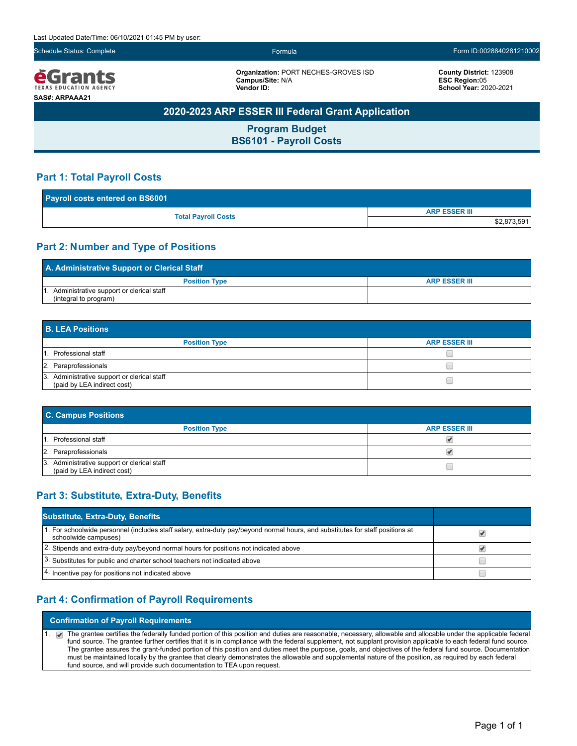eGrants **TEXAS EDUCATION AGENCY SAS#: ARPAAA21**

**Organization:** PORT NECHES-GROVES ISD **Campus/Site:** N/A **Vendor ID:**

**County District:** 123908 **ESC Region:**05 **School Year:** 2020-2021

## **2020-2023 ARP ESSER III Federal Grant Application**

**Program Budget BS6101 - Payroll Costs**

### **Part 1: Total Payroll Costs**

| <b>Payroll costs entered on BS6001</b> |                      |  |
|----------------------------------------|----------------------|--|
|                                        | <b>ARP ESSER III</b> |  |
| <b>Total Payroll Costs</b>             | \$2,873,591          |  |

### **Part 2: Number and Type of Positions**

| A. Administrative Support or Clerical Staff |                      |  |  |
|---------------------------------------------|----------------------|--|--|
| <b>Position Type</b>                        | <b>ARP ESSER III</b> |  |  |
| Administrative support or clerical staff    |                      |  |  |
| (integral to program)                       |                      |  |  |

| <b>B. LEA Positions</b>                                                    |                      |  |  |
|----------------------------------------------------------------------------|----------------------|--|--|
| <b>Position Type</b>                                                       | <b>ARP ESSER III</b> |  |  |
| 1. Professional staff                                                      |                      |  |  |
| 2. Paraprofessionals                                                       |                      |  |  |
| 3. Administrative support or clerical staff<br>(paid by LEA indirect cost) |                      |  |  |

| <b>C. Campus Positions</b>                                                 |                      |  |  |  |
|----------------------------------------------------------------------------|----------------------|--|--|--|
| <b>Position Type</b>                                                       | <b>ARP ESSER III</b> |  |  |  |
| . Professional staff                                                       |                      |  |  |  |
| 2. Paraprofessionals                                                       |                      |  |  |  |
| 3. Administrative support or clerical staff<br>(paid by LEA indirect cost) |                      |  |  |  |

## **Part 3: Substitute, Extra-Duty, Benefits**

| <b>Substitute, Extra-Duty, Benefits</b>                                                                                                                |  |
|--------------------------------------------------------------------------------------------------------------------------------------------------------|--|
| 1. For schoolwide personnel (includes staff salary, extra-duty pay/beyond normal hours, and substitutes for staff positions at<br>schoolwide campuses) |  |
| 2. Stipends and extra-duty pay/beyond normal hours for positions not indicated above                                                                   |  |
| 3. Substitutes for public and charter school teachers not indicated above                                                                              |  |
| 4. Incentive pay for positions not indicated above                                                                                                     |  |

### **Part 4: Confirmation of Payroll Requirements**

**Confirmation of Payroll Requirements**

1. The grantee certifies the federally funded portion of this position and duties are reasonable, necessary, allowable and allocable under the applicable federal fund source. The grantee further certifies that it is in compliance with the federal supplement, not supplant provision applicable to each federal fund source. The grantee assures the grant-funded portion of this position and duties meet the purpose, goals, and objectives of the federal fund source. Documentation must be maintained locally by the grantee that clearly demonstrates the allowable and supplemental nature of the position, as required by each federal fund source, and will provide such documentation to TEA upon request.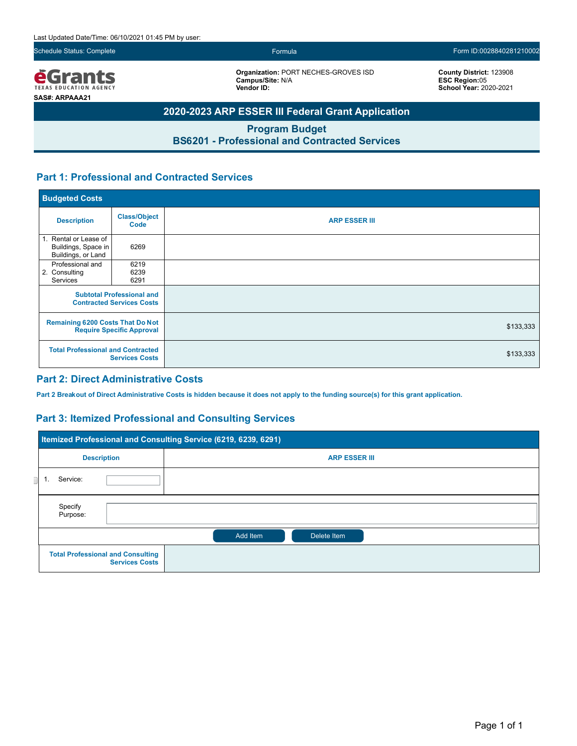

**Organization:** PORT NECHES-GROVES ISD **Campus/Site:** N/A **Vendor ID:**

**County District:** 123908 **ESC Region:**05 **School Year:** 2020-2021

# **2020-2023 ARP ESSER III Federal Grant Application**

**Program Budget BS6201 - Professional and Contracted Services**

## **Part 1: Professional and Contracted Services**

| <b>Budgeted Costs</b>                                                       |                             |                      |
|-----------------------------------------------------------------------------|-----------------------------|----------------------|
| <b>Description</b>                                                          | <b>Class/Object</b><br>Code | <b>ARP ESSER III</b> |
| 1. Rental or Lease of<br>Buildings, Space in<br>Buildings, or Land          | 6269                        |                      |
| Professional and<br>2. Consulting<br>Services                               | 6219<br>6239<br>6291        |                      |
| <b>Subtotal Professional and</b><br><b>Contracted Services Costs</b>        |                             |                      |
| <b>Remaining 6200 Costs That Do Not</b><br><b>Require Specific Approval</b> |                             | \$133,333            |
| <b>Total Professional and Contracted</b><br><b>Services Costs</b>           |                             | \$133,333            |

### **Part 2: Direct Administrative Costs**

**Part 2 Breakout of Direct Administrative Costs is hidden because it does not apply to the funding source(s) for this grant application.**

### **Part 3: Itemized Professional and Consulting Services**

|                                                                   | Itemized Professional and Consulting Service (6219, 6239, 6291) |                      |  |  |  |
|-------------------------------------------------------------------|-----------------------------------------------------------------|----------------------|--|--|--|
| <b>Description</b>                                                |                                                                 | <b>ARP ESSER III</b> |  |  |  |
|                                                                   | Service:<br>1.                                                  |                      |  |  |  |
|                                                                   | Specify<br>Purpose:                                             |                      |  |  |  |
|                                                                   | Add Item<br>Delete Item                                         |                      |  |  |  |
| <b>Total Professional and Consulting</b><br><b>Services Costs</b> |                                                                 |                      |  |  |  |